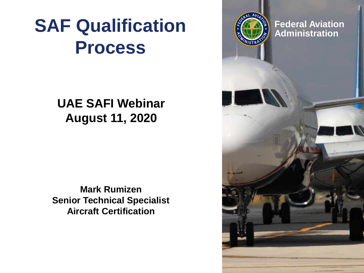## **SAF Qualification**  $\left(\frac{1}{2}\right)^{2}$  administration **Process**

#### **UAE SAFI Webinar August 11, 2020**

**Mark Rumizen Senior Technical Specialist Aircraft Certification**

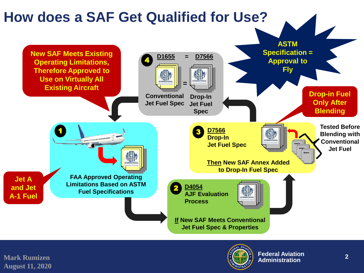

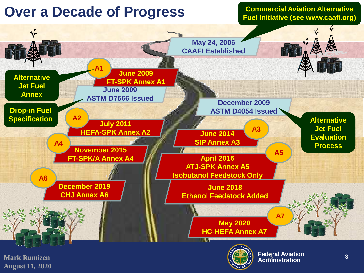

**Commercial Aviation Alternative Fuel Initiative (see www.caafi.org)**



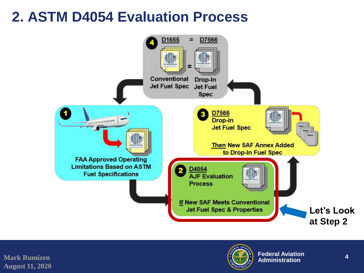## **2. ASTM D4054 Evaluation Process**



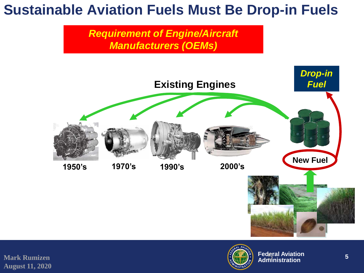## **Sustainable Aviation Fuels Must Be Drop-in Fuels**

*Requirement of Engine/Aircraft Manufacturers (OEMs)*



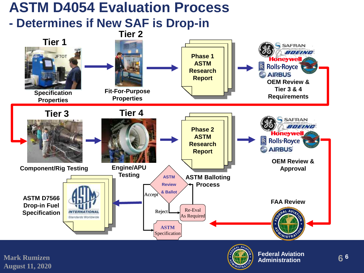#### **ASTM D4054 Evaluation Process**

#### **- Determines if New SAF is Drop-in**



**Mark Rumizen August 11, 2020**



**Federal Aviation Administration <sup>6</sup>**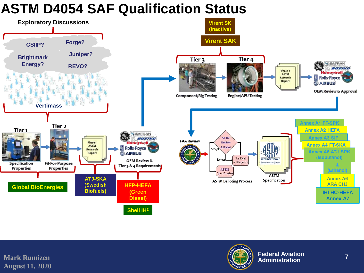### **ASTM D4054 SAF Qualification Status**



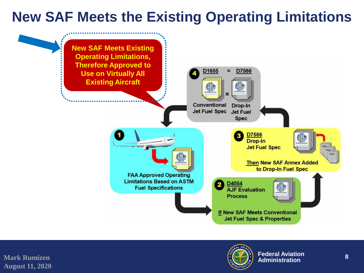## **New SAF Meets the Existing Operating Limitations**



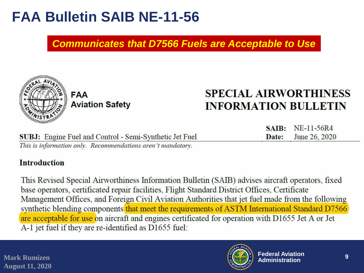## **FAA Bulletin SAIB NE-11-56**

#### *Communicates that D7566 Fuels are Acceptable to Use*



**FAA Aviation Safety** 

#### **SPECIAL AIRWORTHINESS INFORMATION BULLETIN**

SAIR:

Date:

NE-11-56R4

June 26, 2020

|  | <b>SUBJ:</b> Engine Fuel and Control - Semi-Synthetic Jet Fuel |
|--|----------------------------------------------------------------|
|  | This is information only. Recommendations aren't mandatory.    |

#### **Introduction**

This Revised Special Airworthiness Information Bulletin (SAIB) advises aircraft operators, fixed base operators, certificated repair facilities, Flight Standard District Offices, Certificate Management Offices, and Foreign Civil Aviation Authorities that jet fuel made from the following synthetic blending components that meet the requirements of ASTM International Standard D7566 are acceptable for use on aircraft and engines certificated for operation with D1655 Jet A or Jet A-1 jet fuel if they are re-identified as D1655 fuel: